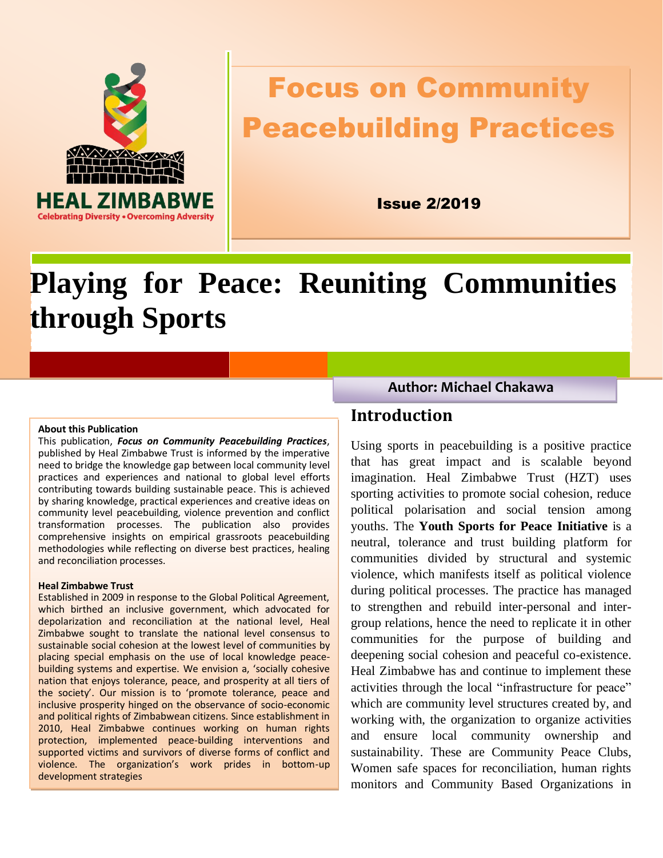

# Focus on Community Peacebuilding Practices

Issue 2/2019

# **Playing for Peace: Reuniting Communities through Sports**

#### **About this Publication**

This publication, *Focus on Community Peacebuilding Practices*, published by Heal Zimbabwe Trust is informed by the imperative need to bridge the knowledge gap between local community level practices and experiences and national to global level efforts contributing towards building sustainable peace. This is achieved by sharing knowledge, practical experiences and creative ideas on community level peacebuilding, violence prevention and conflict transformation processes. The publication also provides comprehensive insights on empirical grassroots peacebuilding methodologies while reflecting on diverse best practices, healing and reconciliation processes.

#### **Heal Zimbabwe Trust**

Established in 2009 in response to the Global Political Agreement, which birthed an inclusive government, which advocated for depolarization and reconciliation at the national level, Heal Zimbabwe sought to translate the national level consensus to sustainable social cohesion at the lowest level of communities by placing special emphasis on the use of local knowledge peacebuilding systems and expertise. We envision a, 'socially cohesive nation that enjoys tolerance, peace, and prosperity at all tiers of the society'. Our mission is to 'promote tolerance, peace and inclusive prosperity hinged on the observance of socio-economic and political rights of Zimbabwean citizens. Since establishment in 2010, Heal Zimbabwe continues working on human rights protection, implemented peace-building interventions and supported victims and survivors of diverse forms of conflict and violence. The organization's work prides in bottom-up development strategies

#### **Author: Michael Chakawa**

### **Introduction**

Using sports in peacebuilding is a positive practice that has great impact and is scalable beyond imagination. Heal Zimbabwe Trust (HZT) uses sporting activities to promote social cohesion, reduce political polarisation and social tension among youths. The **Youth Sports for Peace Initiative** is a neutral, tolerance and trust building platform for communities divided by structural and systemic violence, which manifests itself as political violence during political processes. The practice has managed to strengthen and rebuild inter-personal and intergroup relations, hence the need to replicate it in other communities for the purpose of building and deepening social cohesion and peaceful co-existence. Heal Zimbabwe has and continue to implement these activities through the local "infrastructure for peace" which are community level structures created by, and working with, the organization to organize activities and ensure local community ownership and sustainability. These are Community Peace Clubs, Women safe spaces for reconciliation, human rights monitors and Community Based Organizations in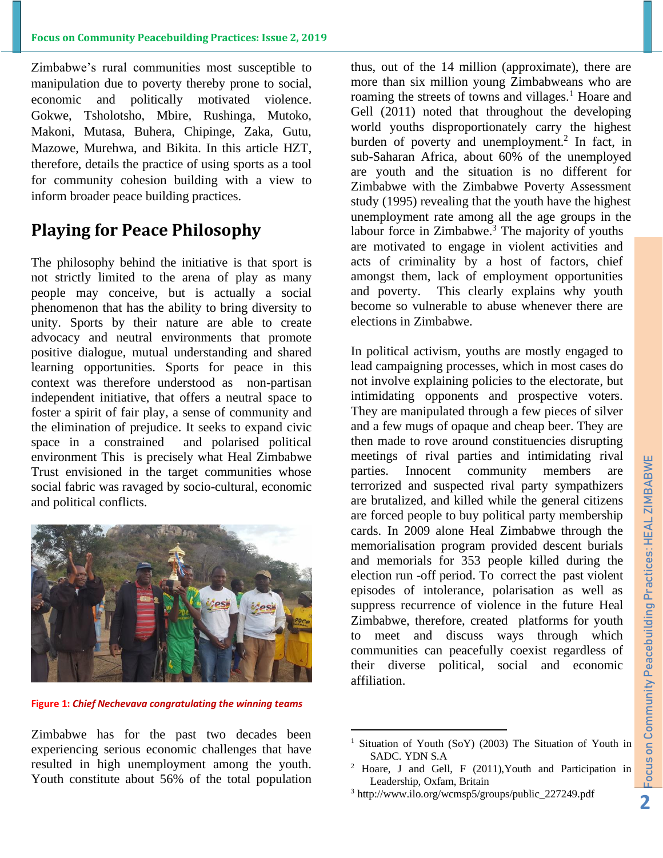Zimbabwe's rural communities most susceptible to manipulation due to poverty thereby prone to social, economic and politically motivated violence. Gokwe, Tsholotsho, Mbire, Rushinga, Mutoko, Makoni, Mutasa, Buhera, Chipinge, Zaka, Gutu, Mazowe, Murehwa, and Bikita. In this article HZT, therefore, details the practice of using sports as a tool for community cohesion building with a view to inform broader peace building practices.

## **Playing for Peace Philosophy**

The philosophy behind the initiative is that sport is not strictly limited to the arena of play as many people may conceive, but is actually a social phenomenon that has the ability to bring diversity to unity. Sports by their nature are able to create advocacy and neutral environments that promote positive dialogue, mutual understanding and shared learning opportunities. Sports for peace in this context was therefore understood as non-partisan independent initiative, that offers a neutral space to foster a spirit of fair play, a sense of community and the elimination of prejudice. It seeks to expand civic space in a constrained and polarised political environment This is precisely what Heal Zimbabwe Trust envisioned in the target communities whose social fabric was ravaged by socio-cultural, economic and political conflicts.



**Figure 1:** *Chief Nechevava congratulating the winning teams*

Zimbabwe has for the past two decades been experiencing serious economic challenges that have resulted in high unemployment among the youth. Youth constitute about 56% of the total population

thus, out of the 14 million (approximate), there are more than six million young Zimbabweans who are roaming the streets of towns and villages.<sup>1</sup> Hoare and Gell (2011) noted that throughout the developing world youths disproportionately carry the highest burden of poverty and unemployment. 2 In fact, in sub-Saharan Africa, about 60% of the unemployed are youth and the situation is no different for Zimbabwe with the Zimbabwe Poverty Assessment study (1995) revealing that the youth have the highest unemployment rate among all the age groups in the labour force in Zimbabwe.<sup>3</sup> The majority of youths are motivated to engage in violent activities and acts of criminality by a host of factors, chief amongst them, lack of employment opportunities and poverty. This clearly explains why youth become so vulnerable to abuse whenever there are elections in Zimbabwe.

In political activism, youths are mostly engaged to lead campaigning processes, which in most cases do not involve explaining policies to the electorate, but intimidating opponents and prospective voters. They are manipulated through a few pieces of silver and a few mugs of opaque and cheap beer. They are then made to rove around constituencies disrupting meetings of rival parties and intimidating rival parties. Innocent community members are terrorized and suspected rival party sympathizers are brutalized, and killed while the general citizens are forced people to buy political party membership cards. In 2009 alone Heal Zimbabwe through the memorialisation program provided descent burials and memorials for 353 people killed during the election run -off period. To correct the past violent episodes of intolerance, polarisation as well as suppress recurrence of violence in the future Heal Zimbabwe, therefore, created platforms for youth to meet and discuss ways through which communities can peacefully coexist regardless of their diverse political, social and economic affiliation.

Situation of Youth (SoY) (2003) The Situation of Youth in SADC. YDN S.A

<sup>2</sup> Hoare, J and Gell, F (2011),Youth and Participation in Leadership, Oxfam, Britain

<sup>3</sup> http://www.ilo.org/wcmsp5/groups/public\_227249.pdf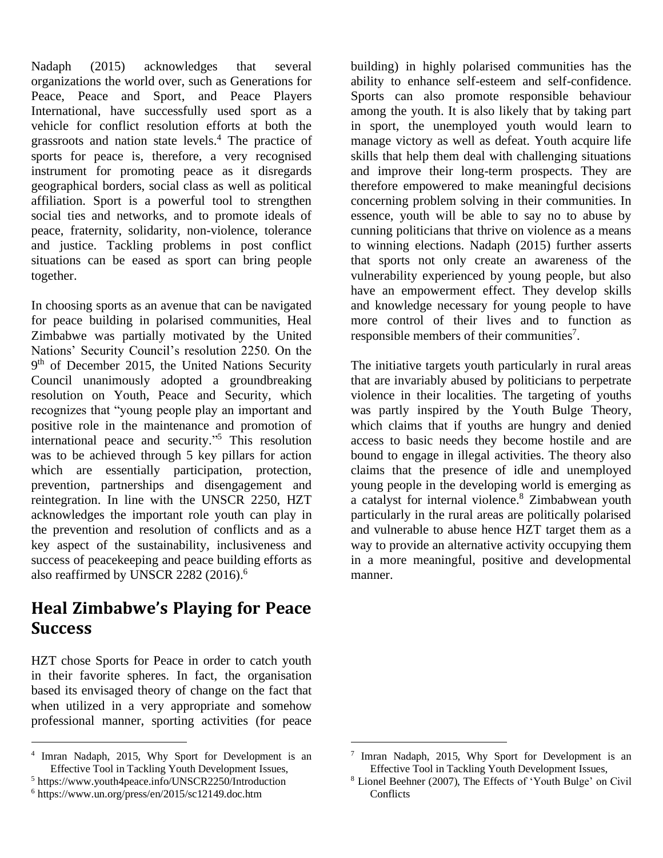Nadaph (2015) acknowledges that several organizations the world over, such as Generations for Peace, Peace and Sport, and Peace Players International, have successfully used sport as a vehicle for conflict resolution efforts at both the grassroots and nation state levels. <sup>4</sup> The practice of sports for peace is, therefore, a very recognised instrument for promoting peace as it disregards geographical borders, social class as well as political affiliation. Sport is a powerful tool to strengthen social ties and networks, and to promote ideals of peace, fraternity, solidarity, non-violence, tolerance and justice. Tackling problems in post conflict situations can be eased as sport can bring people together.

In choosing sports as an avenue that can be navigated for peace building in polarised communities, Heal Zimbabwe was partially motivated by the United Nations' Security Council's resolution 2250. On the 9<sup>th</sup> of December 2015, the United Nations Security Council unanimously adopted a groundbreaking resolution on Youth, Peace and Security, which recognizes that "young people play an important and positive role in the maintenance and promotion of international peace and security." <sup>5</sup> This resolution was to be achieved through 5 key pillars for action which are essentially participation, protection, prevention, partnerships and disengagement and reintegration. In line with the UNSCR 2250, HZT acknowledges the important role youth can play in the prevention and resolution of conflicts and as a key aspect of the sustainability, inclusiveness and success of peacekeeping and peace building efforts as also reaffirmed by UNSCR 2282 (2016). 6

## **Heal Zimbabwe's Playing for Peace Success**

HZT chose Sports for Peace in order to catch youth in their favorite spheres. In fact, the organisation based its envisaged theory of change on the fact that when utilized in a very appropriate and somehow professional manner, sporting activities (for peace

<sup>5</sup> https://www.youth4peace.info/UNSCR2250/Introduction

building) in highly polarised communities has the ability to enhance self-esteem and self-confidence. Sports can also promote responsible behaviour among the youth. It is also likely that by taking part in sport, the unemployed youth would learn to manage victory as well as defeat. Youth acquire life skills that help them deal with challenging situations and improve their long-term prospects. They are therefore empowered to make meaningful decisions concerning problem solving in their communities. In essence, youth will be able to say no to abuse by cunning politicians that thrive on violence as a means to winning elections. Nadaph (2015) further asserts that sports not only create an awareness of the vulnerability experienced by young people, but also have an empowerment effect. They develop skills and knowledge necessary for young people to have more control of their lives and to function as responsible members of their communities<sup>7</sup>.

The initiative targets youth particularly in rural areas that are invariably abused by politicians to perpetrate violence in their localities. The targeting of youths was partly inspired by the Youth Bulge Theory, which claims that if youths are hungry and denied access to basic needs they become hostile and are bound to engage in illegal activities. The theory also claims that the presence of idle and unemployed young people in the developing world is emerging as a catalyst for internal violence. <sup>8</sup> Zimbabwean youth particularly in the rural areas are politically polarised and vulnerable to abuse hence HZT target them as a way to provide an alternative activity occupying them in a more meaningful, positive and developmental manner.

<sup>4</sup> Imran Nadaph, 2015, Why Sport for Development is an Effective Tool in Tackling Youth Development Issues,

 $6$  https://www.un.org/press/en/2015/sc12149.doc.htm

<sup>7</sup> Imran Nadaph, 2015, Why Sport for Development is an Effective Tool in Tackling Youth Development Issues,

<sup>8</sup> Lionel Beehner (2007), The Effects of 'Youth Bulge' on Civil **Conflicts**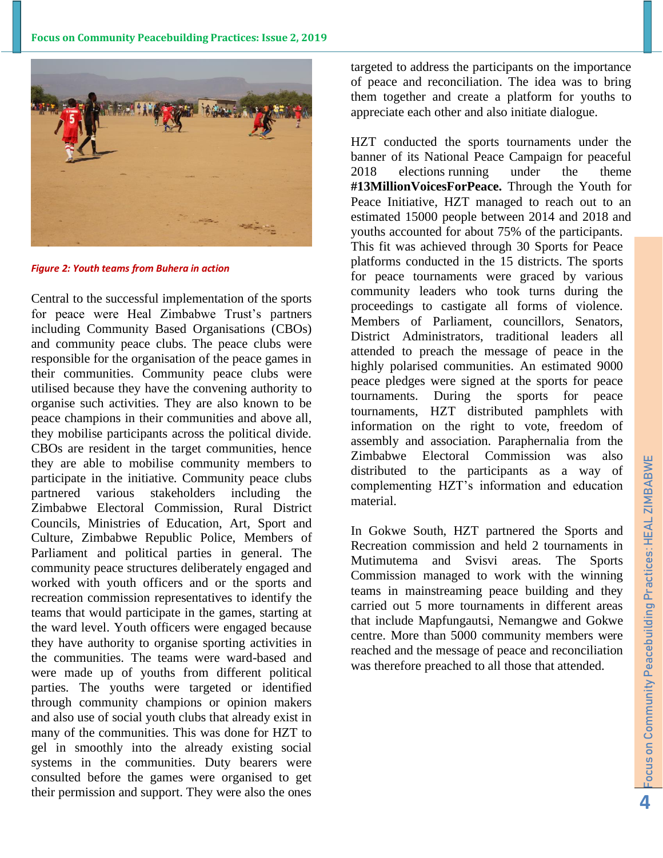

*Figure 2: Youth teams from Buhera in action* 

Central to the successful implementation of the sports for peace were Heal Zimbabwe Trust's partners including Community Based Organisations (CBOs) and community peace clubs. The peace clubs were responsible for the organisation of the peace games in their communities. Community peace clubs were utilised because they have the convening authority to organise such activities. They are also known to be peace champions in their communities and above all, they mobilise participants across the political divide. CBOs are resident in the target communities, hence they are able to mobilise community members to participate in the initiative. Community peace clubs partnered various stakeholders including the Zimbabwe Electoral Commission, Rural District Councils, Ministries of Education, Art, Sport and Culture, Zimbabwe Republic Police, Members of Parliament and political parties in general. The community peace structures deliberately engaged and worked with youth officers and or the sports and recreation commission representatives to identify the teams that would participate in the games, starting at the ward level. Youth officers were engaged because they have authority to organise sporting activities in the communities. The teams were ward-based and were made up of youths from different political parties. The youths were targeted or identified through community champions or opinion makers and also use of social youth clubs that already exist in many of the communities. This was done for HZT to gel in smoothly into the already existing social systems in the communities. Duty bearers were consulted before the games were organised to get their permission and support. They were also the ones

targeted to address the participants on the importance of peace and reconciliation. The idea was to bring them together and create a platform for youths to appreciate each other and also initiate dialogue.

HZT conducted the sports tournaments under the banner of its National Peace Campaign for peaceful 2018 elections running under the theme **#13MillionVoicesForPeace.** Through the Youth for Peace Initiative, HZT managed to reach out to an estimated 15000 people between 2014 and 2018 and youths accounted for about 75% of the participants. This fit was achieved through 30 Sports for Peace platforms conducted in the 15 districts. The sports for peace tournaments were graced by various community leaders who took turns during the proceedings to castigate all forms of violence. Members of Parliament, councillors, Senators, District Administrators, traditional leaders all attended to preach the message of peace in the highly polarised communities. An estimated 9000 peace pledges were signed at the sports for peace tournaments. During the sports for peace tournaments, HZT distributed pamphlets with information on the right to vote, freedom of assembly and association. Paraphernalia from the Zimbabwe Electoral Commission was also distributed to the participants as a way of complementing HZT's information and education material.

In Gokwe South, HZT partnered the Sports and Recreation commission and held 2 tournaments in Mutimutema and Svisvi areas. The Sports Commission managed to work with the winning teams in mainstreaming peace building and they carried out 5 more tournaments in different areas that include Mapfungautsi, Nemangwe and Gokwe centre. More than 5000 community members were reached and the message of peace and reconciliation was therefore preached to all those that attended.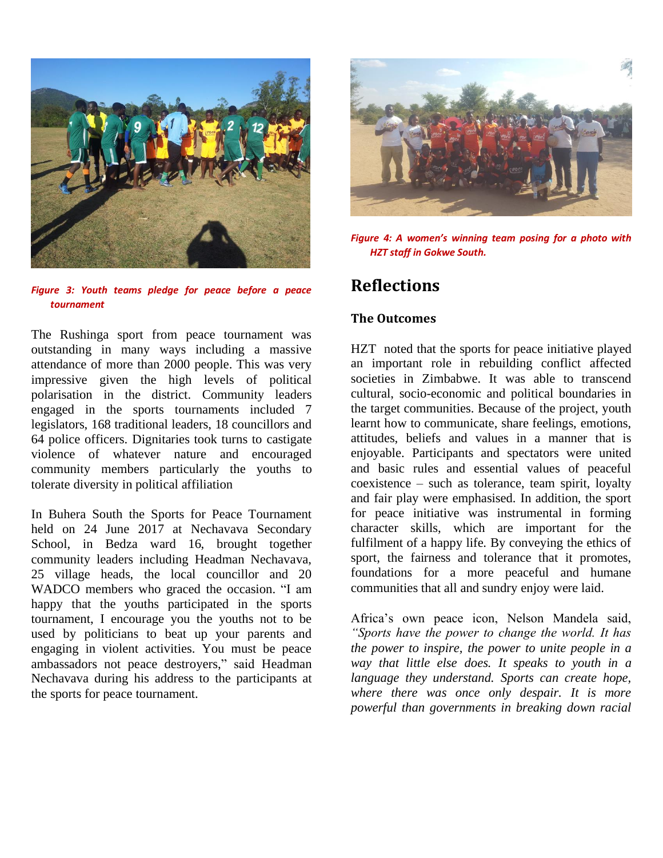

*Figure 3: Youth teams pledge for peace before a peace tournament*

The Rushinga sport from peace tournament was outstanding in many ways including a massive attendance of more than 2000 people. This was very impressive given the high levels of political polarisation in the district. Community leaders engaged in the sports tournaments included 7 legislators, 168 traditional leaders, 18 councillors and 64 police officers. Dignitaries took turns to castigate violence of whatever nature and encouraged community members particularly the youths to tolerate diversity in political affiliation

In Buhera South the Sports for Peace Tournament held on 24 June 2017 at Nechavava Secondary School, in Bedza ward 16, brought together community leaders including Headman Nechavava, 25 village heads, the local councillor and 20 WADCO members who graced the occasion. "I am happy that the youths participated in the sports tournament, I encourage you the youths not to be used by politicians to beat up your parents and engaging in violent activities. You must be peace ambassadors not peace destroyers," said Headman Nechavava during his address to the participants at the sports for peace tournament.



*Figure 4: A women's winning team posing for a photo with HZT staff in Gokwe South.*

## **Reflections**

#### **The Outcomes**

HZT noted that the sports for peace initiative played an important role in rebuilding conflict affected societies in Zimbabwe. It was able to transcend cultural, socio-economic and political boundaries in the target communities. Because of the project, youth learnt how to communicate, share feelings, emotions, attitudes, beliefs and values in a manner that is enjoyable. Participants and spectators were united and basic rules and essential values of peaceful coexistence – such as tolerance, team spirit, loyalty and fair play were emphasised. In addition, the sport for peace initiative was instrumental in forming character skills, which are important for the fulfilment of a happy life. By conveying the ethics of sport, the fairness and tolerance that it promotes, foundations for a more peaceful and humane communities that all and sundry enjoy were laid.

Africa's own peace icon, Nelson Mandela said, *"Sports have the power to change the world. It has the power to inspire, the power to unite people in a way that little else does. It speaks to youth in a language they understand. Sports can create hope, where there was once only despair. It is more powerful than governments in breaking down racial*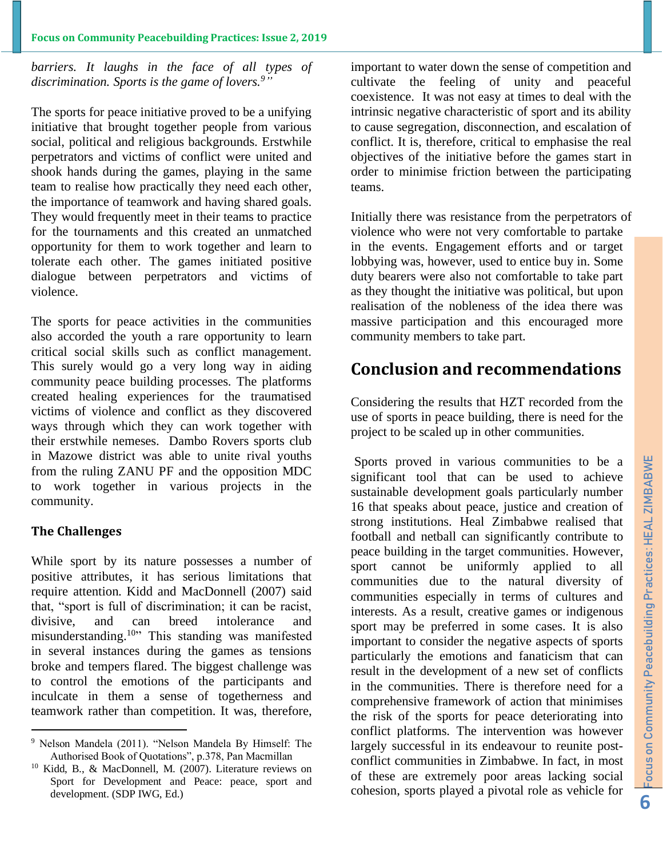*barriers. It laughs in the face of all types of discrimination. Sports is the game of lovers.<sup>9</sup>"*

The sports for peace initiative proved to be a unifying initiative that brought together people from various social, political and religious backgrounds. Erstwhile perpetrators and victims of conflict were united and shook hands during the games, playing in the same team to realise how practically they need each other, the importance of teamwork and having shared goals. They would frequently meet in their teams to practice for the tournaments and this created an unmatched opportunity for them to work together and learn to tolerate each other. The games initiated positive dialogue between perpetrators and victims of violence.

The sports for peace activities in the communities also accorded the youth a rare opportunity to learn critical social skills such as conflict management. This surely would go a very long way in aiding community peace building processes. The platforms created healing experiences for the traumatised victims of violence and conflict as they discovered ways through which they can work together with their erstwhile nemeses. Dambo Rovers sports club in Mazowe district was able to unite rival youths from the ruling ZANU PF and the opposition MDC to work together in various projects in the community.

#### **The Challenges**

While sport by its nature possesses a number of positive attributes, it has serious limitations that require attention. Kidd and MacDonnell (2007) said that, "sport is full of discrimination; it can be racist, divisive, and can breed intolerance and misunderstanding.<sup>10</sup>" This standing was manifested in several instances during the games as tensions broke and tempers flared. The biggest challenge was to control the emotions of the participants and inculcate in them a sense of togetherness and teamwork rather than competition. It was, therefore,

important to water down the sense of competition and cultivate the feeling of unity and peaceful coexistence. It was not easy at times to deal with the intrinsic negative characteristic of sport and its ability to cause segregation, disconnection, and escalation of conflict. It is, therefore, critical to emphasise the real objectives of the initiative before the games start in order to minimise friction between the participating teams.

Initially there was resistance from the perpetrators of violence who were not very comfortable to partake in the events. Engagement efforts and or target lobbying was, however, used to entice buy in. Some duty bearers were also not comfortable to take part as they thought the initiative was political, but upon realisation of the nobleness of the idea there was massive participation and this encouraged more community members to take part.

## **Conclusion and recommendations**

Considering the results that HZT recorded from the use of sports in peace building, there is need for the project to be scaled up in other communities.

Sports proved in various communities to be a significant tool that can be used to achieve sustainable development goals particularly number 16 that speaks about peace, justice and creation of strong institutions. Heal Zimbabwe realised that football and netball can significantly contribute to peace building in the target communities. However, sport cannot be uniformly applied to all communities due to the natural diversity of communities especially in terms of cultures and interests. As a result, creative games or indigenous sport may be preferred in some cases. It is also important to consider the negative aspects of sports particularly the emotions and fanaticism that can result in the development of a new set of conflicts in the communities. There is therefore need for a comprehensive framework of action that minimises the risk of the sports for peace deteriorating into conflict platforms. The intervention was however largely successful in its endeavour to reunite postconflict communities in Zimbabwe. In fact, in most of these are extremely poor areas lacking social cohesion, sports played a pivotal role as vehicle for

<sup>9</sup> Nelson Mandela (2011). "Nelson Mandela By Himself: The Authorised Book of Quotations", p.378, Pan Macmillan

<sup>10</sup> Kidd, B., & MacDonnell, M. (2007). Literature reviews on Sport for Development and Peace: peace, sport and development. (SDP IWG, Ed.)